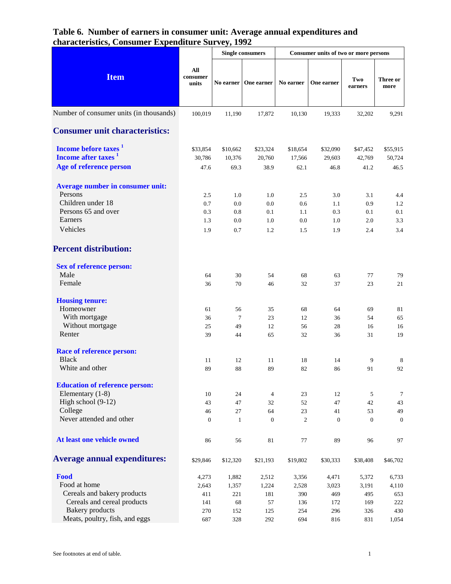|                                                                                                                                                |                                            |                                           | <b>Single consumers</b>                    |                                            | Consumer units of two or more persons      |                                            |                                              |
|------------------------------------------------------------------------------------------------------------------------------------------------|--------------------------------------------|-------------------------------------------|--------------------------------------------|--------------------------------------------|--------------------------------------------|--------------------------------------------|----------------------------------------------|
| <b>Item</b>                                                                                                                                    | All<br>consumer<br>units                   |                                           | No earner   One earner                     | No earner                                  | One earner                                 | Two<br>earners                             | Three or<br>more                             |
| Number of consumer units (in thousands)                                                                                                        | 100,019                                    | 11,190                                    | 17,872                                     | 10,130                                     | 19,333                                     | 32,202                                     | 9,291                                        |
| <b>Consumer unit characteristics:</b>                                                                                                          |                                            |                                           |                                            |                                            |                                            |                                            |                                              |
| Income before taxes <sup>1</sup><br>Income after taxes <sup>1</sup><br>Age of reference person                                                 | \$33,854<br>30,786<br>47.6                 | \$10,662<br>10,376<br>69.3                | \$23,324<br>20,760<br>38.9                 | \$18,654<br>17,566<br>62.1                 | \$32,090<br>29,603<br>46.8                 | \$47,452<br>42,769<br>41.2                 | \$55,915<br>50,724<br>46.5                   |
| Average number in consumer unit:<br>Persons<br>Children under 18<br>Persons 65 and over<br>Earners<br>Vehicles                                 | 2.5<br>0.7<br>0.3<br>1.3<br>1.9            | 1.0<br>0.0<br>0.8<br>0.0<br>0.7           | 1.0<br>0.0<br>0.1<br>1.0<br>1.2            | 2.5<br>0.6<br>1.1<br>0.0<br>1.5            | 3.0<br>1.1<br>0.3<br>1.0<br>1.9            | 3.1<br>0.9<br>0.1<br>2.0<br>2.4            | 4.4<br>1.2<br>0.1<br>3.3<br>3.4              |
| <b>Percent distribution:</b>                                                                                                                   |                                            |                                           |                                            |                                            |                                            |                                            |                                              |
| <b>Sex of reference person:</b><br>Male<br>Female                                                                                              | 64<br>36                                   | 30<br>70                                  | 54<br>46                                   | 68<br>32                                   | 63<br>37                                   | 77<br>23                                   | 79<br>21                                     |
| <b>Housing tenure:</b><br>Homeowner<br>With mortgage<br>Without mortgage<br>Renter                                                             | 61<br>36<br>25<br>39                       | 56<br>$\tau$<br>49<br>44                  | 35<br>23<br>12<br>65                       | 68<br>12<br>56<br>32                       | 64<br>36<br>28<br>36                       | 69<br>54<br>16<br>31                       | 81<br>65<br>16<br>19                         |
| <b>Race of reference person:</b><br><b>Black</b><br>White and other                                                                            | 11<br>89                                   | 12<br>88                                  | 11<br>89                                   | 18<br>82                                   | 14<br>86                                   | 9<br>91                                    | 8<br>92                                      |
| <b>Education of reference person:</b><br>Elementary (1-8)<br>High school (9-12)<br>College<br>Never attended and other                         | 10<br>43<br>46<br>$\mathbf{0}$             | 24<br>47<br>$27\,$<br>$\mathbf{1}$        | $\overline{4}$<br>32<br>64<br>$\mathbf{0}$ | 23<br>52<br>23<br>$\mathfrak{2}$           | 12<br>47<br>41<br>$\mathbf{0}$             | 5<br>42<br>53<br>$\overline{0}$            | $\tau$<br>43<br>49<br>$\mathbf{0}$           |
| At least one vehicle owned                                                                                                                     | 86                                         | 56                                        | 81                                         | 77                                         | 89                                         | 96                                         | 97                                           |
| <b>Average annual expenditures:</b>                                                                                                            | \$29,846                                   | \$12,320                                  | \$21,193                                   | \$19,802                                   | \$30,333                                   | \$38,408                                   | \$46,702                                     |
| Food<br>Food at home<br>Cereals and bakery products<br>Cereals and cereal products<br><b>Bakery</b> products<br>Meats, poultry, fish, and eggs | 4,273<br>2,643<br>411<br>141<br>270<br>687 | 1,882<br>1,357<br>221<br>68<br>152<br>328 | 2,512<br>1,224<br>181<br>57<br>125<br>292  | 3,356<br>2,528<br>390<br>136<br>254<br>694 | 4,471<br>3,023<br>469<br>172<br>296<br>816 | 5,372<br>3,191<br>495<br>169<br>326<br>831 | 6,733<br>4,110<br>653<br>222<br>430<br>1,054 |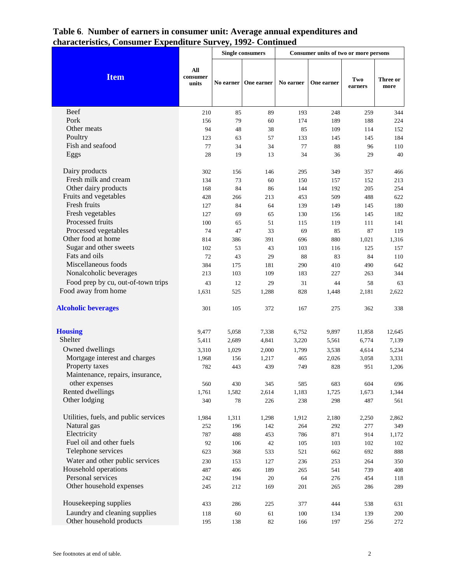|                                       |                          |           | <b>Single consumers</b> |           | Consumer units of two or more persons |                |                  |
|---------------------------------------|--------------------------|-----------|-------------------------|-----------|---------------------------------------|----------------|------------------|
| <b>Item</b>                           | All<br>consumer<br>units | No earner | One earner              | No earner | One earner                            | Two<br>earners | Three or<br>more |
| Beef                                  | 210                      | 85        | 89                      | 193       | 248                                   | 259            | 344              |
| Pork                                  | 156                      | 79        | 60                      | 174       | 189                                   | 188            | 224              |
| Other meats                           | 94                       | 48        | 38                      | 85        | 109                                   | 114            | 152              |
| Poultry                               | 123                      | 63        | 57                      | 133       | 145                                   | 145            | 184              |
| Fish and seafood                      | 77                       | 34        | 34                      | 77        | 88                                    | 96             | 110              |
| Eggs                                  | 28                       | 19        | 13                      | 34        | 36                                    | 29             | 40               |
| Dairy products                        | 302                      | 156       | 146                     | 295       | 349                                   | 357            | 466              |
| Fresh milk and cream                  | 134                      | 73        | 60                      | 150       | 157                                   | 152            | 213              |
| Other dairy products                  | 168                      | 84        | 86                      | 144       | 192                                   | 205            | 254              |
| Fruits and vegetables                 | 428                      | 266       | 213                     | 453       | 509                                   | 488            | 622              |
| Fresh fruits                          | 127                      | 84        | 64                      | 139       | 149                                   | 145            | 180              |
| Fresh vegetables                      | 127                      | 69        | 65                      | 130       | 156                                   | 145            | 182              |
| Processed fruits                      | 100                      | 65        | 51                      | 115       | 119                                   | 111            | 141              |
| Processed vegetables                  | 74                       | 47        | 33                      | 69        | 85                                    | 87             | 119              |
| Other food at home                    | 814                      | 386       | 391                     | 696       | 880                                   | 1,021          | 1,316            |
| Sugar and other sweets                | 102                      | 53        | 43                      | 103       | 116                                   | 125            | 157              |
| Fats and oils                         | 72                       | 43        | 29                      | 88        | 83                                    | 84             | 110              |
| Miscellaneous foods                   | 384                      | 175       | 181                     | 290       | 410                                   | 490            | 642              |
| Nonalcoholic beverages                | 213                      | 103       | 109                     | 183       | 227                                   | 263            | 344              |
| Food prep by cu, out-of-town trips    | 43                       | 12        | 29                      | 31        | 44                                    | 58             | 63               |
| Food away from home                   | 1,631                    | 525       | 1,288                   | 828       | 1,448                                 | 2,181          | 2,622            |
| <b>Alcoholic beverages</b>            | 301                      | 105       | 372                     | 167       | 275                                   | 362            | 338              |
| <b>Housing</b>                        | 9,477                    | 5,058     | 7,338                   | 6,752     | 9,897                                 | 11,858         | 12,645           |
| Shelter                               | 5,411                    | 2,689     | 4,841                   | 3,220     | 5,561                                 | 6,774          | 7,139            |
| Owned dwellings                       | 3,310                    | 1,029     | 2,000                   | 1,799     | 3,538                                 | 4,614          | 5,234            |
| Mortgage interest and charges         | 1,968                    | 156       | 1,217                   | 465       | 2,026                                 | 3,058          | 3,331            |
| Property taxes                        | 782                      | 443       | 439                     | 749       | 828                                   | 951            | 1,206            |
| Maintenance, repairs, insurance,      |                          |           |                         |           |                                       |                |                  |
| other expenses                        | 560                      | 430       | 345                     | 585       | 683                                   | 604            | 696              |
| Rented dwellings                      | 1,761                    | 1,582     | 2,614                   | 1,183     | 1,725                                 | 1,673          | 1,344            |
| Other lodging                         | 340                      | 78        | 226                     | 238       | 298                                   | 487            | 561              |
| Utilities, fuels, and public services | 1,984                    | 1,311     | 1,298                   | 1,912     | 2,180                                 | 2,250          | 2,862            |
| Natural gas                           | 252                      | 196       | 142                     | 264       | 292                                   | 277            | 349              |
| Electricity                           | 787                      | 488       | 453                     | 786       | 871                                   | 914            | 1,172            |
| Fuel oil and other fuels              | 92                       | 106       | 42                      | 105       | 103                                   | 102            | 102              |
| Telephone services                    | 623                      | 368       | 533                     | 521       | 662                                   | 692            | 888              |
| Water and other public services       | 230                      | 153       | 127                     | 236       | 253                                   | 264            | 350              |
| Household operations                  | 487                      | 406       | 189                     | 265       | 541                                   | 739            | 408              |
| Personal services                     | 242                      | 194       | $20\,$                  | 64        | 276                                   | 454            | 118              |
| Other household expenses              | 245                      | 212       | 169                     | 201       | 265                                   | 286            | 289              |
| Housekeeping supplies                 | 433                      | 286       | 225                     | 377       | 444                                   | 538            | 631              |
| Laundry and cleaning supplies         | 118                      | 60        | 61                      | 100       | 134                                   | 139            | 200              |
| Other household products              | 195                      | 138       | $82\,$                  | 166       | 197                                   | 256            | 272              |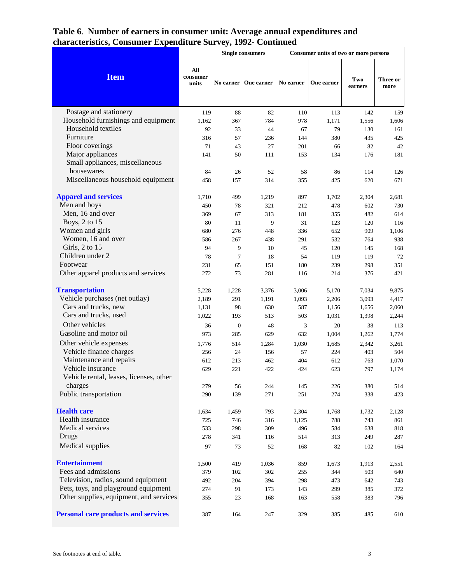|                                            |                          |                  | <b>Single consumers</b> |           | Consumer units of two or more persons |                |                  |
|--------------------------------------------|--------------------------|------------------|-------------------------|-----------|---------------------------------------|----------------|------------------|
| <b>Item</b>                                | All<br>consumer<br>units |                  | No earner   One earner  | No earner | One earner                            | Two<br>earners | Three or<br>more |
| Postage and stationery                     | 119                      | 88               | 82                      | 110       | 113                                   | 142            | 159              |
| Household furnishings and equipment        | 1,162                    | 367              | 784                     | 978       | 1,171                                 | 1,556          | 1,606            |
| Household textiles                         | 92                       | 33               | 44                      | 67        | 79                                    | 130            | 161              |
| Furniture                                  | 316                      | 57               | 236                     | 144       | 380                                   | 435            | 425              |
| Floor coverings                            | 71                       | 43               | 27                      | 201       | 66                                    | 82             | 42               |
| Major appliances                           | 141                      | 50               | 111                     | 153       | 134                                   | 176            | 181              |
| Small appliances, miscellaneous            |                          |                  |                         |           |                                       |                |                  |
| housewares                                 | 84                       | 26               | 52                      | 58        | 86                                    | 114            | 126              |
| Miscellaneous household equipment          | 458                      | 157              | 314                     | 355       | 425                                   | 620            | 671              |
| <b>Apparel and services</b>                | 1,710                    | 499              | 1,219                   | 897       | 1,702                                 | 2,304          | 2,681            |
| Men and boys                               | 450                      | 78               | 321                     | 212       | 478                                   | 602            | 730              |
| Men, 16 and over                           | 369                      | 67               | 313                     | 181       | 355                                   | 482            | 614              |
| Boys, 2 to 15                              | 80                       | 11               | 9                       | 31        | 123                                   | 120            | 116              |
| Women and girls                            | 680                      | 276              | 448                     | 336       | 652                                   | 909            | 1,106            |
| Women, 16 and over                         | 586                      | 267              | 438                     | 291       | 532                                   | 764            | 938              |
| Girls, 2 to 15                             | 94                       | 9                | 10                      | 45        | 120                                   | 145            | 168              |
| Children under 2                           | 78                       | $\overline{7}$   | 18                      | 54        | 119                                   | 119            | 72               |
| Footwear                                   | 231                      | 65               | 151                     | 180       | 239                                   | 298            | 351              |
| Other apparel products and services        | 272                      | 73               | 281                     | 116       | 214                                   | 376            | 421              |
| <b>Transportation</b>                      | 5,228                    | 1,228            | 3,376                   | 3,006     | 5,170                                 | 7,034          | 9,875            |
| Vehicle purchases (net outlay)             | 2,189                    | 291              | 1,191                   | 1,093     | 2,206                                 | 3,093          | 4,417            |
| Cars and trucks, new                       | 1,131                    | 98               | 630                     | 587       | 1,156                                 | 1,656          | 2,060            |
| Cars and trucks, used                      | 1,022                    | 193              | 513                     | 503       | 1,031                                 | 1,398          | 2,244            |
| Other vehicles                             | 36                       | $\boldsymbol{0}$ | 48                      | 3         | 20                                    | 38             | 113              |
| Gasoline and motor oil                     | 973                      | 285              | 629                     | 632       | 1,004                                 | 1,262          | 1,774            |
| Other vehicle expenses                     | 1,776                    | 514              | 1,284                   | 1,030     | 1,685                                 | 2,342          | 3,261            |
| Vehicle finance charges                    | 256                      | 24               | 156                     | 57        | 224                                   | 403            | 504              |
| Maintenance and repairs                    | 612                      | 213              | 462                     | 404       | 612                                   | 763            | 1,070            |
| Vehicle insurance                          | 629                      | 221              | 422                     | 424       | 623                                   | 797            | 1,174            |
| Vehicle rental, leases, licenses, other    |                          |                  |                         |           |                                       |                |                  |
| charges                                    | 279                      | 56               | 244                     | 145       | 226                                   | 380            | 514              |
| Public transportation                      | 290                      | 139              | 271                     | 251       | 274                                   | 338            | 423              |
| <b>Health care</b>                         | 1,634                    | 1,459            | 793                     | 2,304     | 1,768                                 | 1,732          | 2,128            |
| Health insurance                           | 725                      | 746              | 316                     | 1,125     | 788                                   | 743            | 861              |
| Medical services                           | 533                      | 298              | 309                     | 496       | 584                                   | 638            | 818              |
| Drugs                                      | 278                      | 341              | 116                     | 514       | 313                                   | 249            | 287              |
| Medical supplies                           | 97                       | 73               | 52                      | 168       | 82                                    | 102            | 164              |
| <b>Entertainment</b>                       | 1,500                    | 419              | 1,036                   | 859       | 1,673                                 | 1,913          | 2,551            |
| Fees and admissions                        | 379                      | 102              | 302                     | 255       | 344                                   | 503            | 640              |
| Television, radios, sound equipment        | 492                      | 204              | 394                     | 298       | 473                                   | 642            | 743              |
| Pets, toys, and playground equipment       | 274                      | 91               | 173                     | 143       | 299                                   | 385            | 372              |
| Other supplies, equipment, and services    | 355                      | 23               | 168                     | 163       | 558                                   | 383            | 796              |
| <b>Personal care products and services</b> | 387                      | 164              | 247                     | 329       | 385                                   | 485            | 610              |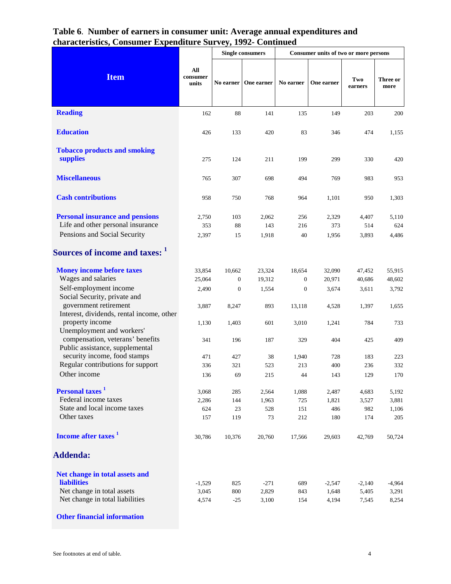| All<br>consumer<br>units     |                        | One earner                       | No earner                                                                                                        | One earner                   | Two<br>earners                                                                                                | Three or<br>more                                             |
|------------------------------|------------------------|----------------------------------|------------------------------------------------------------------------------------------------------------------|------------------------------|---------------------------------------------------------------------------------------------------------------|--------------------------------------------------------------|
| 162                          | 88                     | 141                              | 135                                                                                                              | 149                          | 203                                                                                                           | 200                                                          |
| 426                          | 133                    | 420                              | 83                                                                                                               | 346                          | 474                                                                                                           | 1,155                                                        |
| 275                          | 124                    | 211                              | 199                                                                                                              | 299                          | 330                                                                                                           | 420                                                          |
| 765                          | 307                    | 698                              | 494                                                                                                              | 769                          | 983                                                                                                           | 953                                                          |
| 958                          |                        | 768                              | 964                                                                                                              | 1,101                        | 950                                                                                                           | 1,303                                                        |
| 2,750<br>353<br>2,397        | 103<br>88<br>15        | 2,062<br>143<br>1,918            | 40                                                                                                               | 2,329<br>373<br>1,956        | 4,407<br>514<br>3,893                                                                                         | 5,110<br>624<br>4,486                                        |
|                              |                        |                                  |                                                                                                                  |                              |                                                                                                               |                                                              |
| 33,854<br>25,064<br>2,490    | 10,662<br>$\mathbf{0}$ | 23,324<br>19,312<br>1,554        | 18,654<br>$\boldsymbol{0}$                                                                                       | 32,090<br>20,971<br>3,674    | 47,452<br>40,686<br>3,611                                                                                     | 55,915<br>48,602<br>3,792                                    |
| 3,887                        | 8,247                  | 893                              | 13,118                                                                                                           | 4,528                        | 1,397                                                                                                         | 1,655                                                        |
| 341                          | 196                    | 187                              | 329                                                                                                              | 404                          | 425                                                                                                           | 733<br>409                                                   |
| 471                          | 427                    | 38                               |                                                                                                                  | 728                          | 183                                                                                                           | 223<br>332                                                   |
| 136                          | 69                     | 215                              | 44                                                                                                               | 143                          | 129                                                                                                           | 170                                                          |
| 3,068<br>2,286<br>624<br>157 | 285<br>119             | 2,564<br>1,963<br>528<br>73      | 1,088<br>151                                                                                                     | 2,487<br>1,821<br>486<br>180 | 4,683<br>3,527<br>982<br>174                                                                                  | 5,192<br>3,881<br>1,106<br>205                               |
| 30,786                       |                        | 20,760                           |                                                                                                                  | 29,603                       | 42,769                                                                                                        | 50,724                                                       |
|                              |                        |                                  |                                                                                                                  |                              |                                                                                                               |                                                              |
| $-1,529$<br>3,045            |                        | $-271$<br>2,829                  |                                                                                                                  | $-2,547$<br>1,648            | $-2,140$<br>5,405                                                                                             | $-4,964$<br>3,291<br>8,254                                   |
|                              | 1,130<br>336<br>4,574  | 750<br>1,403<br>321<br>23<br>825 | <b>Single consumers</b><br>No earner<br>$\boldsymbol{0}$<br>601<br>523<br>144<br>10,376<br>800<br>$-25$<br>3,100 | 3,010<br>213                 | 256<br>216<br>$\boldsymbol{0}$<br>1,241<br>1,940<br>400<br>725<br>212<br>17,566<br>689<br>843<br>154<br>4,194 | Consumer units of two or more persons<br>784<br>236<br>7,545 |

**Other financial information**